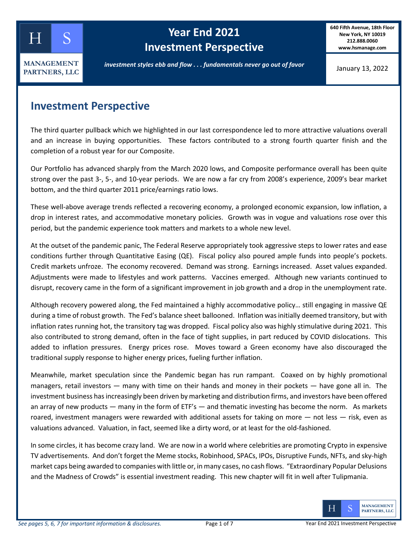

# **kellog Year End 2021 Investment Perspective**

**640 Fifth Avenue, 18th Floor New York, NY 10019 212.888.0060 www.hsmanage.com**

January 13, 2022

### **Investment Perspective**

The third quarter pullback which we highlighted in our last correspondence led to more attractive valuations overall and an increase in buying opportunities. These factors contributed to a strong fourth quarter finish and the completion of a robust year for our Composite.

Our Portfolio has advanced sharply from the March 2020 lows, and Composite performance overall has been quite strong over the past 3-, 5-, and 10-year periods. We are now a far cry from 2008's experience, 2009's bear market bottom, and the third quarter 2011 price/earnings ratio lows.

These well-above average trends reflected a recovering economy, a prolonged economic expansion, low inflation, a drop in interest rates, and accommodative monetary policies. Growth was in vogue and valuations rose over this period, but the pandemic experience took matters and markets to a whole new level.

At the outset of the pandemic panic, The Federal Reserve appropriately took aggressive steps to lower rates and ease conditions further through Quantitative Easing (QE). Fiscal policy also poured ample funds into people's pockets. Credit markets unfroze. The economy recovered. Demand was strong. Earnings increased. Asset values expanded. Adjustments were made to lifestyles and work patterns. Vaccines emerged. Although new variants continued to disrupt, recovery came in the form of a significant improvement in job growth and a drop in the unemployment rate.

Although recovery powered along, the Fed maintained a highly accommodative policy… still engaging in massive QE during a time of robust growth. The Fed's balance sheet ballooned. Inflation was initially deemed transitory, but with inflation rates running hot, the transitory tag was dropped. Fiscal policy also was highly stimulative during 2021. This also contributed to strong demand, often in the face of tight supplies, in part reduced by COVID dislocations. This added to inflation pressures. Energy prices rose. Moves toward a Green economy have also discouraged the traditional supply response to higher energy prices, fueling further inflation.

Meanwhile, market speculation since the Pandemic began has run rampant. Coaxed on by highly promotional managers, retail investors — many with time on their hands and money in their pockets — have gone all in. The investment business has increasingly been driven by marketing and distribution firms, and investors have been offered an array of new products — many in the form of ETF's — and thematic investing has become the norm. As markets roared, investment managers were rewarded with additional assets for taking on more — not less — risk, even as valuations advanced. Valuation, in fact, seemed like a dirty word, or at least for the old-fashioned.

In some circles, it has become crazy land. We are now in a world where celebrities are promoting Crypto in expensive TV advertisements. And don't forget the Meme stocks, Robinhood, SPACs, IPOs, Disruptive Funds, NFTs, and sky-high market caps being awarded to companies with little or, in many cases, no cash flows. "Extraordinary Popular Delusions and the Madness of Crowds" is essential investment reading. This new chapter will fit in well after Tulipmania.

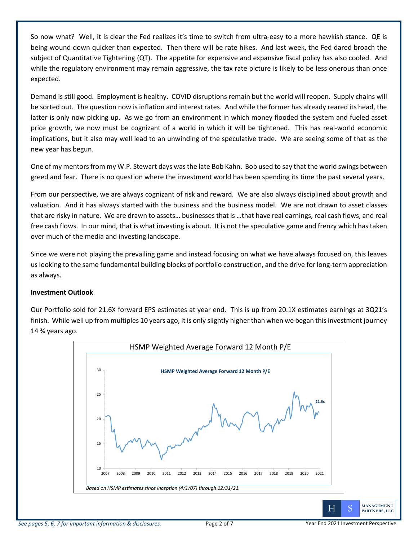So now what? Well, it is clear the Fed realizes it's time to switch from ultra-easy to a more hawkish stance. QE is being wound down quicker than expected. Then there will be rate hikes. And last week, the Fed dared broach the subject of Quantitative Tightening (QT). The appetite for expensive and expansive fiscal policy has also cooled. And while the regulatory environment may remain aggressive, the tax rate picture is likely to be less onerous than once expected.

Demand is still good. Employment is healthy. COVID disruptions remain but the world will reopen. Supply chains will be sorted out. The question now is inflation and interest rates. And while the former has already reared its head, the latter is only now picking up. As we go from an environment in which money flooded the system and fueled asset price growth, we now must be cognizant of a world in which it will be tightened. This has real-world economic implications, but it also may well lead to an unwinding of the speculative trade. We are seeing some of that as the new year has begun.

One of my mentors from my W.P. Stewart days was the late Bob Kahn. Bob used to say that the world swings between greed and fear. There is no question where the investment world has been spending its time the past several years.

From our perspective, we are always cognizant of risk and reward. We are also always disciplined about growth and valuation. And it has always started with the business and the business model. We are not drawn to asset classes that are risky in nature. We are drawn to assets… businesses that is …that have real earnings, real cash flows, and real free cash flows. In our mind, that is what investing is about. It is not the speculative game and frenzy which has taken over much of the media and investing landscape.

Since we were not playing the prevailing game and instead focusing on what we have always focused on, this leaves us looking to the same fundamental building blocks of portfolio construction, and the drive for long-term appreciation as always.

### **Investment Outlook**

Our Portfolio sold for 21.6X forward EPS estimates at year end. This is up from 20.1X estimates earnings at 3Q21's finish. While well up from multiples 10 years ago, it is only slightly higher than when we began this investment journey 14 ¾ years ago.

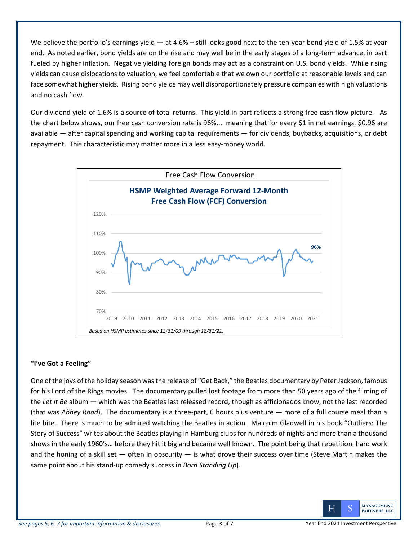We believe the portfolio's earnings yield  $-$  at 4.6% – still looks good next to the ten-year bond yield of 1.5% at year end. As noted earlier, bond yields are on the rise and may well be in the early stages of a long-term advance, in part fueled by higher inflation. Negative yielding foreign bonds may act as a constraint on U.S. bond yields. While rising yields can cause dislocations to valuation, we feel comfortable that we own our portfolio at reasonable levels and can face somewhat higher yields. Rising bond yields may well disproportionately pressure companies with high valuations and no cash flow.

Our dividend yield of 1.6% is a source of total returns. This yield in part reflects a strong free cash flow picture. As the chart below shows, our free cash conversion rate is 96%.... meaning that for every \$1 in net earnings, \$0.96 are available — after capital spending and working capital requirements — for dividends, buybacks, acquisitions, or debt repayment. This characteristic may matter more in a less easy-money world.



### **"I've Got a Feeling"**

One of the joys of the holiday season was the release of "Get Back," the Beatles documentary by Peter Jackson, famous for his Lord of the Rings movies. The documentary pulled lost footage from more than 50 years ago of the filming of the *Let it Be* album — which was the Beatles last released record, though as afficionados know, not the last recorded (that was *Abbey Road*). The documentary is a three-part, 6 hours plus venture — more of a full course meal than a lite bite. There is much to be admired watching the Beatles in action. Malcolm Gladwell in his book "Outliers: The Story of Success" writes about the Beatles playing in Hamburg clubs for hundreds of nights and more than a thousand shows in the early 1960's… before they hit it big and became well known. The point being that repetition, hard work and the honing of a skill set  $-$  often in obscurity  $-$  is what drove their success over time (Steve Martin makes the same point about his stand-up comedy success in *Born Standing Up*).

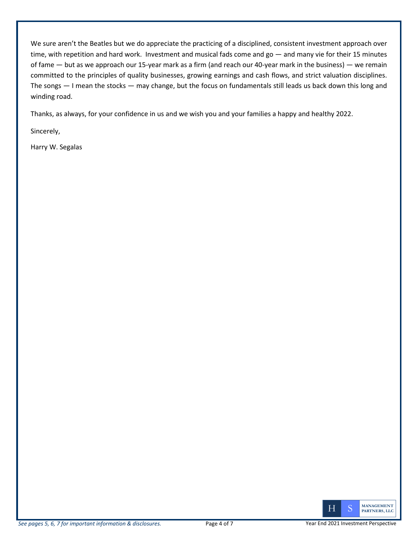We sure aren't the Beatles but we do appreciate the practicing of a disciplined, consistent investment approach over time, with repetition and hard work. Investment and musical fads come and go — and many vie for their 15 minutes of fame — but as we approach our 15-year mark as a firm (and reach our 40-year mark in the business) — we remain committed to the principles of quality businesses, growing earnings and cash flows, and strict valuation disciplines. The songs — I mean the stocks — may change, but the focus on fundamentals still leads us back down this long and winding road.

Thanks, as always, for your confidence in us and we wish you and your families a happy and healthy 2022.

Sincerely,

Harry W. Segalas

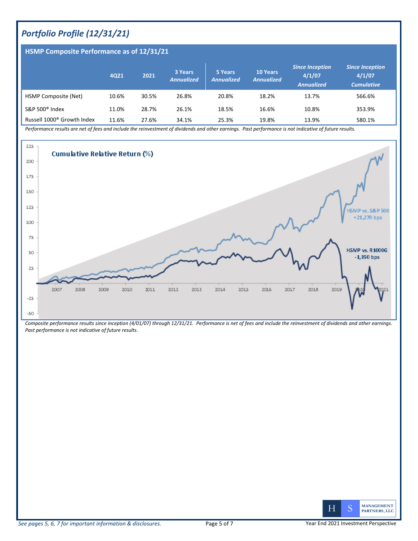## *Portfolio Profile (12/31/21)*

**HSMP Composite Performance as of 12/31/21**

#### **4Q21 <sup>2021</sup> 3 Years** *Annualized* **5 Years**  *Annualized* **10 Years**  *Annualized Since Inception* **4/1/07** *Annualized Since Inception* **4/1/07** *Cumulative* HSMP Composite (Net) 10.6% 30.5% 26.8% 20.8% 18.2% 13.7% 566.6% S&P 500® Index 11.0% 28.7% 26.1% 18.5% 16.6% 10.8% 353.9% Russell 1000<sup>®</sup> Growth Index 11.6% 27.6% 34.1% 25.3% 19.8% 13.9% 13.9% 580.1%

*Performance results are net of fees and include the reinvestment of dividends and other earnings. Past performance is not indicative of future results.* 



*Composite performance results since inception (4/01/07) through 12/31/21. Performance is net of fees and include the reinvestment of dividends and other earnings. Past performance is not indicative of future results.*

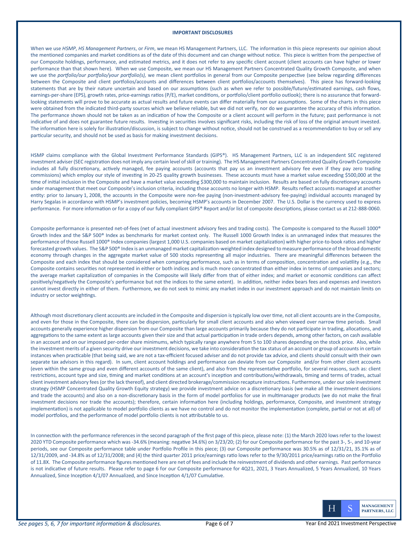#### **IMPORTANT DISCLOSURES**

When we use *HSMP*, *HS Management Partners*, or *Firm*, we mean HS Management Partners, LLC. The information in this piece represents our opinion about the mentioned companies and market conditions as of the date of this document and can change without notice. This piece is written from the perspective of our Composite holdings, performance, and estimated metrics, and it does not refer to any specific client account (client accounts can have higher or lower performance than that shown here). When we use Composite, we mean our HS Management Partners Concentrated Quality Growth Composite, and when we use the portfolio/our portfolio/your portfolio(s), we mean client portfolios in general from our Composite perspective (see below regarding differences between the Composite and client portfolios/accounts and differences between client portfolios/accounts themselves). This piece has forward-looking statements that are by their nature uncertain and based on our assumptions (such as when we refer to possible/future/estimated earnings, cash flows, earnings-per-share (EPS), growth rates, price-earnings ratios (P/E), market conditions, or portfolio/client portfolio outlook); there is no assurance that forwardlooking statements will prove to be accurate as actual results and future events can differ materially from our assumptions. Some of the charts in this piece were obtained from the indicated third-party sources which we believe reliable, but we did not verify, nor do we guarantee the accuracy of this information. The performance shown should not be taken as an indication of how the Composite or a client account will perform in the future; past performance is not indicative of and does not guarantee future results. Investing in securities involves significant risks, including the risk of loss of the original amount invested. The information here is solely for illustration/discussion, is subject to change without notice, should not be construed as a recommendation to buy or sell any particular security, and should not be used as basis for making investment decisions.

HSMP claims compliance with the Global Investment Performance Standards (GIPS®). HS Management Partners, LLC is an independent SEC registered investment adviser (SEC registration does not imply any certain level of skill or training). The HS Management Partners Concentrated Quality Growth Composite includes all fully discretionary, actively managed, fee paying accounts (accounts that pay us an investment advisory fee even if they pay zero trading commissions) which employ our style of investing in 20-25 quality growth businesses. These accounts must have a market value exceeding \$500,000 at the time of initial inclusion in the Composite and have a market value exceeding \$300,000 to maintain inclusion. Results are based on fully discretionary accounts under management that meet our Composite's inclusion criteria, including those accounts no longer with HSMP. Results reflect accounts managed at another en�ty: prior to January 1, 2008, the accounts in the Composite were non-fee paying (non-investment-advisory fee-paying) individual accounts managed by Harry Segalas in accordance with HSMP's investment policies, becoming HSMP's accounts in December 2007. The U.S. Dollar is the currency used to express performance. For more information or for a copy of our fully compliant GIPS® Report and/or list of composite descriptions, please contact us at 212-888-0060.

Composite performance is presented net-of-fees (net of actual investment advisory fees and trading costs). The Composite is compared to the Russell 1000® Growth Index and the S&P 500® Index as benchmarks for market context only. The Russell 1000 Growth Index is an unmanaged index that measures the performance of those Russell 1000® Index companies (largest 1,000 U.S. companies based on market capitalization) with higher price-to-book ratios and higher forecasted growth values. The S&P 500® Index is an unmanaged market capitalization-weighted index designed to measure performance of the broad domestic economy through changes in the aggregate market value of 500 stocks representing all major industries. There are meaningful differences between the Composite and each index that should be considered when comparing performance, such as in terms of composition, concentration and volatility (e.g., the Composite contains securi�es not represented in either or both indices and is much more concentrated than either index in terms of companies and sectors; the average market capitalization of companies in the Composite will likely differ from that of either index; and market or economic conditions can affect positively/negatively the Composite's performance but not the indices to the same extent). In addition, neither index bears fees and expenses and investors cannot invest directly in either of them. Furthermore, we do not seek to mimic any market index in our investment approach and do not maintain limits on industry or sector weightings.

Although most discretionary client accounts are included in the Composite and dispersion is typically low over time, not all client accounts are in the Composite, and even for those in the Composite, there can be dispersion, particularly for small client accounts and also when viewed over narrow time periods. Small accounts generally experience higher dispersion from our Composite than large accounts primarily because they do not participate in trading, allocations, and aggregations to the same extent as large accounts given their size and that actual participation in trade orders depends, among other factors, on cash available in an account and on our imposed per-order share minimums, which typically range anywhere from 5 to 100 shares depending on the stock price. Also, while the investment merits of a given security drive our investment decisions, we take into consideration the tax status of an account or group of accounts in certain instances when prac�cable (that being said, we are not a tax-efficient focused adviser and do not provide tax advice, and clients should consult with their own separate tax advisors in this regard). In sum, client account holdings and performance can deviate from our Composite and/or from other client accounts (even within the same group and even different accounts of the same client), and also from the representative portfolio, for several reasons, such as: client restrictions, account type and size, timing and market conditions at an account's inception and contributions/withdrawals, timing and terms of trades, actual client investment advisory fees (or the lack thereof), and client directed brokerage/commission recapture instruc�ons. Furthermore, under our sole investment strategy (HSMP Concentrated Quality Growth Equity strategy) we provide investment advice on a discretionary basis (we make all the investment decisions and trade the accounts) and also on a non-discretionary basis in the form of model portfolios for use in multimanager products (we do not make the final investment decisions nor trade the accounts); therefore, certain information here (including holdings, performance, Composite, and investment strategy implementation) is not applicable to model portfolio clients as we have no control and do not monitor the implementation (complete, partial or not at all) of model portfolios, and the performance of model portfolio clients is not attributable to us.

In connection with the performance references in the second paragraph of the first page of this piece, please note: (1) the March 2020 lows refer to the lowest 2020 YTD Composite performance which was -34.6% (meaning: negative 34.6%) on 3/23/20; (2) for our Composite performance for the past 3-, 5-, and 10-year periods, see our Composite performance table under Portfolio Profile in this piece; (3) our Composite performance was 30.5% as of 12/31/21, 35.1% as of 12/31/2009, and -34.8% as of 12/31/2008; and (4) the third quarter 2011 price/earnings ratio lows refer to the 9/30/2011 price/earnings ratio on the Portfolio of 11.8X. The Composite performance figures mentioned here are net of fees and include the reinvestment of dividends and other earnings. Past performance is not indicative of future results. Please refer to page 6 for our Composite performance for 4Q21, 2021, 3 Years Annualized, 5 Years Annualized, 10 Years Annualized, Since Inception 4/1/07 Annualized, and Since Inception 4/1/07 Cumulative.